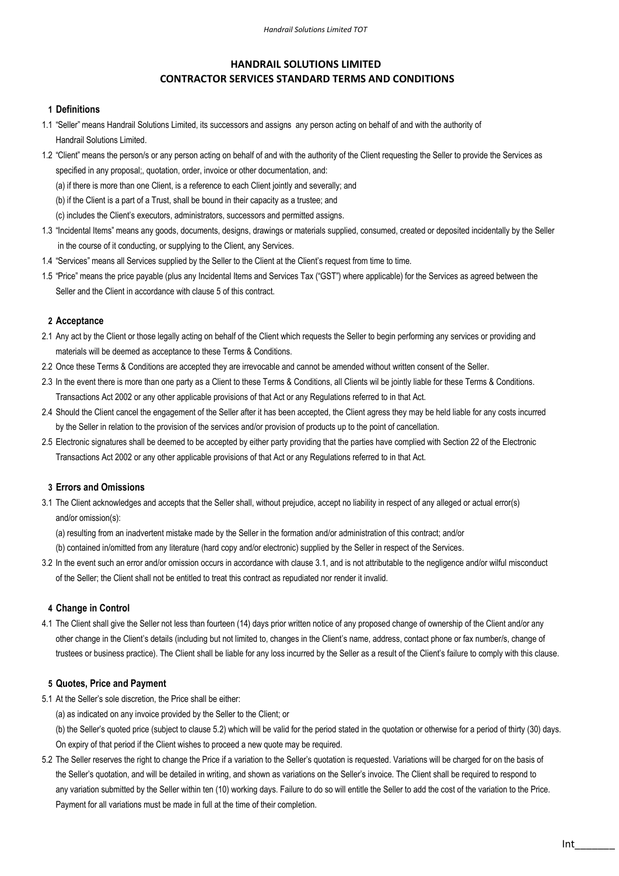# HANDRAIL SOLUTIONS LIMITED CONTRACTOR SERVICES STANDARD TERMS AND CONDITIONS

### 1 Definitions

- 1.1 "Seller" means Handrail Solutions Limited, its successors and assigns any person acting on behalf of and with the authority of Handrail Solutions Limited.
- 1.2 "Client" means the person/s or any person acting on behalf of and with the authority of the Client requesting the Seller to provide the Services as specified in any proposal;, quotation, order, invoice or other documentation, and:
	- (a) if there is more than one Client, is a reference to each Client jointly and severally; and
	- (b) if the Client is a part of a Trust, shall be bound in their capacity as a trustee; and
	- (c) includes the Client's executors, administrators, successors and permitted assigns.
- 1.3 "Incidental Items" means any goods, documents, designs, drawings or materials supplied, consumed, created or deposited incidentally by the Seller in the course of it conducting, or supplying to the Client, any Services.
- 1.4 "Services" means all Services supplied by the Seller to the Client at the Client's request from time to time.
- 1.5 "Price" means the price payable (plus any Incidental Items and Services Tax ("GST") where applicable) for the Services as agreed between the Seller and the Client in accordance with clause 5 of this contract.

#### 2 Acceptance

- 2.1 Any act by the Client or those legally acting on behalf of the Client which requests the Seller to begin performing any services or providing and materials will be deemed as acceptance to these Terms & Conditions.
- 2.2 Once these Terms & Conditions are accepted they are irrevocable and cannot be amended without written consent of the Seller.
- 2.3 In the event there is more than one party as a Client to these Terms & Conditions, all Clients wil be jointly liable for these Terms & Conditions. Transactions Act 2002 or any other applicable provisions of that Act or any Regulations referred to in that Act.
- 2.4 Should the Client cancel the engagement of the Seller after it has been accepted, the Client agress they may be held liable for any costs incurred by the Seller in relation to the provision of the services and/or provision of products up to the point of cancellation.
- 2.5 Electronic signatures shall be deemed to be accepted by either party providing that the parties have complied with Section 22 of the Electronic Transactions Act 2002 or any other applicable provisions of that Act or any Regulations referred to in that Act.

#### 3 Errors and Omissions

- 3.1 The Client acknowledges and accepts that the Seller shall, without prejudice, accept no liability in respect of any alleged or actual error(s) and/or omission(s):
	- (a) resulting from an inadvertent mistake made by the Seller in the formation and/or administration of this contract; and/or
	- (b) contained in/omitted from any literature (hard copy and/or electronic) supplied by the Seller in respect of the Services.
- 3.2 In the event such an error and/or omission occurs in accordance with clause 3.1, and is not attributable to the negligence and/or wilful misconduct of the Seller; the Client shall not be entitled to treat this contract as repudiated nor render it invalid.

#### 4 Change in Control

4.1 The Client shall give the Seller not less than fourteen (14) days prior written notice of any proposed change of ownership of the Client and/or any other change in the Client's details (including but not limited to, changes in the Client's name, address, contact phone or fax number/s, change of trustees or business practice). The Client shall be liable for any loss incurred by the Seller as a result of the Client's failure to comply with this clause.

# 5 Quotes, Price and Payment

- 5.1 At the Seller's sole discretion, the Price shall be either:
	- (a) as indicated on any invoice provided by the Seller to the Client; or
	- (b) the Seller's quoted price (subject to clause 5.2) which will be valid for the period stated in the quotation or otherwise for a period of thirty (30) days. On expiry of that period if the Client wishes to proceed a new quote may be required.
- 5.2 The Seller reserves the right to change the Price if a variation to the Seller's quotation is requested. Variations will be charged for on the basis of the Seller's quotation, and will be detailed in writing, and shown as variations on the Seller's invoice. The Client shall be required to respond to any variation submitted by the Seller within ten (10) working days. Failure to do so will entitle the Seller to add the cost of the variation to the Price. Payment for all variations must be made in full at the time of their completion.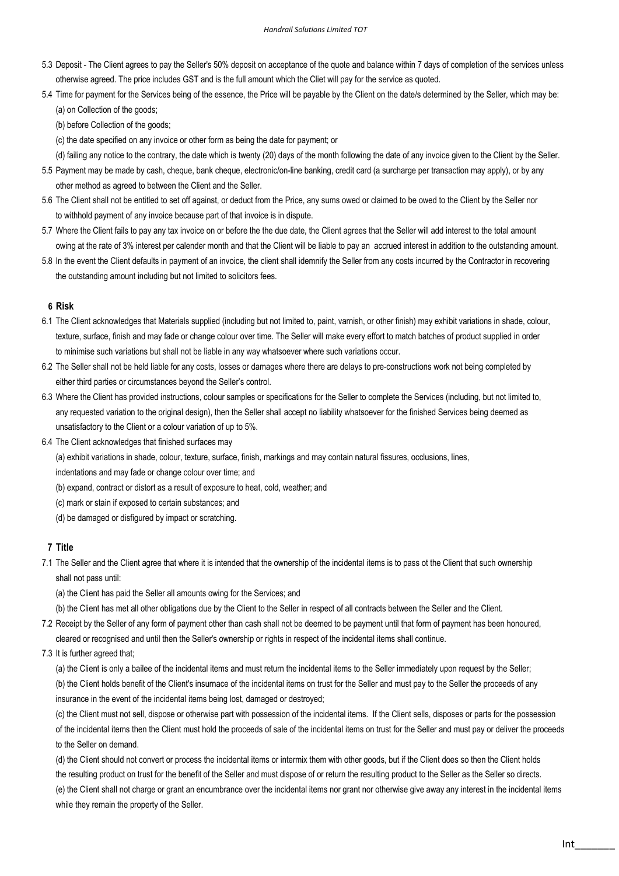- 5.3 Deposit The Client agrees to pay the Seller's 50% deposit on acceptance of the quote and balance within 7 days of completion of the services unless otherwise agreed. The price includes GST and is the full amount which the Cliet will pay for the service as quoted.
- 5.4 Time for payment for the Services being of the essence, the Price will be payable by the Client on the date/s determined by the Seller, which may be: (a) on Collection of the goods;

(b) before Collection of the goods;

(c) the date specified on any invoice or other form as being the date for payment; or

(d) failing any notice to the contrary, the date which is twenty (20) days of the month following the date of any invoice given to the Client by the Seller.

- 5.5 Payment may be made by cash, cheque, bank cheque, electronic/on-line banking, credit card (a surcharge per transaction may apply), or by any other method as agreed to between the Client and the Seller.
- 5.6 The Client shall not be entitled to set off against, or deduct from the Price, any sums owed or claimed to be owed to the Client by the Seller nor to withhold payment of any invoice because part of that invoice is in dispute.
- 5.7 Where the Client fails to pay any tax invoice on or before the the due date, the Client agrees that the Seller will add interest to the total amount owing at the rate of 3% interest per calender month and that the Client will be liable to pay an accrued interest in addition to the outstanding amount.
- 5.8 In the event the Client defaults in payment of an invoice, the client shall idemnify the Seller from any costs incurred by the Contractor in recovering the outstanding amount including but not limited to solicitors fees.

#### 6 Risk

- 6.1 The Client acknowledges that Materials supplied (including but not limited to, paint, varnish, or other finish) may exhibit variations in shade, colour, texture, surface, finish and may fade or change colour over time. The Seller will make every effort to match batches of product supplied in order to minimise such variations but shall not be liable in any way whatsoever where such variations occur.
- 6.2 The Seller shall not be held liable for any costs, losses or damages where there are delays to pre-constructions work not being completed by either third parties or circumstances beyond the Seller's control.
- 6.3 Where the Client has provided instructions, colour samples or specifications for the Seller to complete the Services (including, but not limited to, any requested variation to the original design), then the Seller shall accept no liability whatsoever for the finished Services being deemed as unsatisfactory to the Client or a colour variation of up to 5%.
- 6.4 The Client acknowledges that finished surfaces may
	- (a) exhibit variations in shade, colour, texture, surface, finish, markings and may contain natural fissures, occlusions, lines,

indentations and may fade or change colour over time; and

- (b) expand, contract or distort as a result of exposure to heat, cold, weather; and
- (c) mark or stain if exposed to certain substances; and
- (d) be damaged or disfigured by impact or scratching.

### 7 Title

- 7.1 The Seller and the Client agree that where it is intended that the ownership of the incidental items is to pass ot the Client that such ownership shall not pass until:
	- (a) the Client has paid the Seller all amounts owing for the Services; and
	- (b) the Client has met all other obligations due by the Client to the Seller in respect of all contracts between the Seller and the Client.
- 7.2 Receipt by the Seller of any form of payment other than cash shall not be deemed to be payment until that form of payment has been honoured, cleared or recognised and until then the Seller's ownership or rights in respect of the incidental items shall continue.
- 7.3 It is further agreed that;

(a) the Client is only a bailee of the incidental items and must return the incidental items to the Seller immediately upon request by the Seller; (b) the Client holds benefit of the Client's insurnace of the incidental items on trust for the Seller and must pay to the Seller the proceeds of any insurance in the event of the incidental items being lost, damaged or destroyed;

(c) the Client must not sell, dispose or otherwise part with possession of the incidental items. If the Client sells, disposes or parts for the possession of the incidental items then the Client must hold the proceeds of sale of the incidental items on trust for the Seller and must pay or deliver the proceeds to the Seller on demand.

(d) the Client should not convert or process the incidental items or intermix them with other goods, but if the Client does so then the Client holds the resulting product on trust for the benefit of the Seller and must dispose of or return the resulting product to the Seller as the Seller so directs. (e) the Client shall not charge or grant an encumbrance over the incidental items nor grant nor otherwise give away any interest in the incidental items

while they remain the property of the Seller.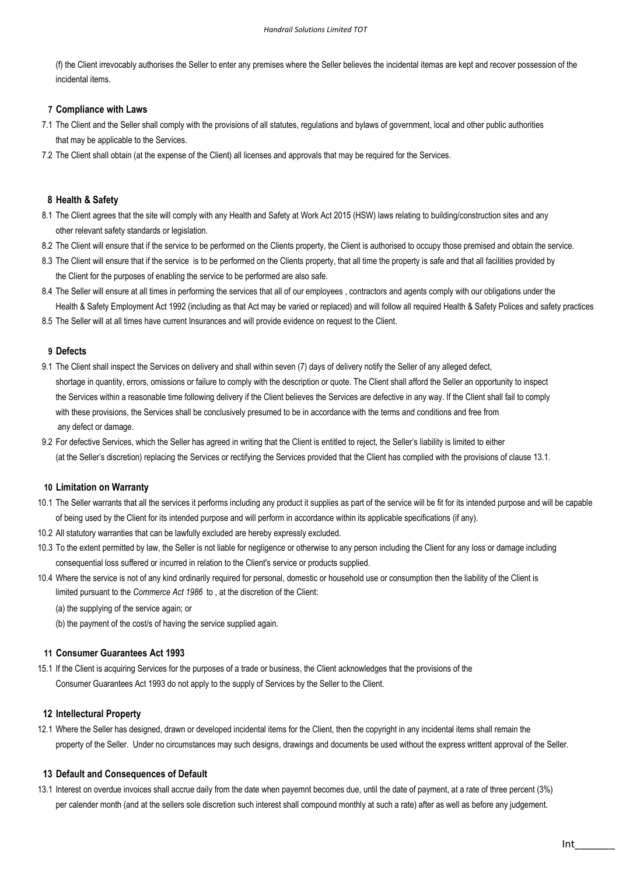(f) the Client irrevocably authorises the Seller to enter any premises where the Seller believes the incidental itemas are kept and recover possession of the incidental items.

### 7 Compliance with Laws

- 7.1 The Client and the Seller shall comply with the provisions of all statutes, regulations and bylaws of government, local and other public authorities that may be applicable to the Services.
- 7.2 The Client shall obtain (at the expense of the Client) all licenses and approvals that may be required for the Services.

### 8 Health & Safety

- 8.1 The Client agrees that the site will comply with any Health and Safety at Work Act 2015 (HSW) laws relating to building/construction sites and any other relevant safety standards or legislation.
- 8.2 The Client will ensure that if the service to be performed on the Clients property, the Client is authorised to occupy those premised and obtain the service.
- 8.3 The Client will ensure that if the service is to be performed on the Clients property, that all time the property is safe and that all facilities provided by the Client for the purposes of enabling the service to be performed are also safe.
- 8.4 The Seller will ensure at all times in performing the services that all of our employees, contractors and agents comply with our obligations under the Health & Safety Employment Act 1992 (including as that Act may be varied or replaced) and will follow all required Health & Safety Polices and safety practices.
- 8.5 The Seller will at all times have current Insurances and will provide evidence on request to the Client.

### 9 Defects

- 9.1 The Client shall inspect the Services on delivery and shall within seven (7) days of delivery notify the Seller of any alleged defect, shortage in quantity, errors, omissions or failure to comply with the description or quote. The Client shall afford the Seller an opportunity to inspect the Services within a reasonable time following delivery if the Client believes the Services are defective in any way. If the Client shall fail to comply with these provisions, the Services shall be conclusively presumed to be in accordance with the terms and conditions and free from any defect or damage.
- 9.2 For defective Services, which the Seller has agreed in writing that the Client is entitled to reject, the Seller's liability is limited to either (at the Seller's discretion) replacing the Services or rectifying the Services provided that the Client has complied with the provisions of clause 13.1.

#### 10 Limitation on Warranty

- 10.1 The Seller warrants that all the services it performs including any product it supplies as part of the service will be fit for its intended purpose and will be capable of being used by the Client for its intended purpose and will perform in accordance within its applicable specifications (if any).
- 10.2 All statutory warranties that can be lawfully excluded are hereby expressly excluded.
- 10.3 To the extent permitted by law, the Seller is not liable for negligence or otherwise to any person including the Client for any loss or damage including consequential loss suffered or incurred in relation to the Client's service or products supplied.
- 10.4 Where the service is not of any kind ordinarily required for personal, domestic or household use or consumption then the liability of the Client is limited pursuant to the Commerce Act 1986 to , at the discretion of the Client:
	- (a) the supplying of the service again; or
	- (b) the payment of the cost/s of having the service supplied again.

# 11 Consumer Guarantees Act 1993

15.1 If the Client is acquiring Services for the purposes of a trade or business, the Client acknowledges that the provisions of the Consumer Guarantees Act 1993 do not apply to the supply of Services by the Seller to the Client.

#### 12 Intellectural Property

12.1 Where the Seller has designed, drawn or developed incidental items for the Client, then the copyright in any incidental items shall remain the property of the Seller. Under no circumstances may such designs, drawings and documents be used without the express writtent approval of the Seller.

### 13 Default and Consequences of Default

13.1 Interest on overdue invoices shall accrue daily from the date when payemnt becomes due, until the date of payment, at a rate of three percent (3%) per calender month (and at the sellers sole discretion such interest shall compound monthly at such a rate) after as well as before any judgement.